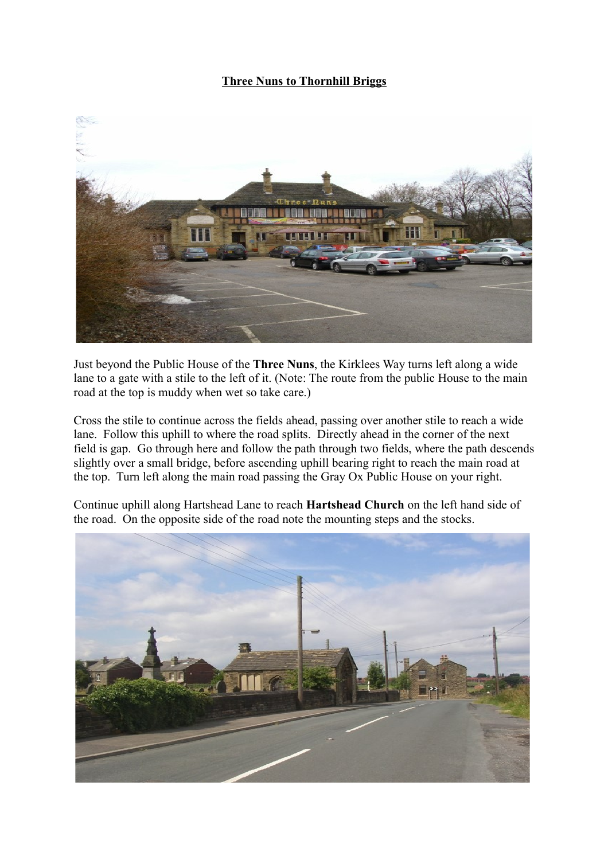## **Three Nuns to Thornhill Briggs**



Just beyond the Public House of the **Three Nuns**, the Kirklees Way turns left along a wide lane to a gate with a stile to the left of it. (Note: The route from the public House to the main road at the top is muddy when wet so take care.)

Cross the stile to continue across the fields ahead, passing over another stile to reach a wide lane. Follow this uphill to where the road splits. Directly ahead in the corner of the next field is gap. Go through here and follow the path through two fields, where the path descends slightly over a small bridge, before ascending uphill bearing right to reach the main road at the top. Turn left along the main road passing the Gray Ox Public House on your right.

Continue uphill along Hartshead Lane to reach **Hartshead Church** on the left hand side of the road. On the opposite side of the road note the mounting steps and the stocks.

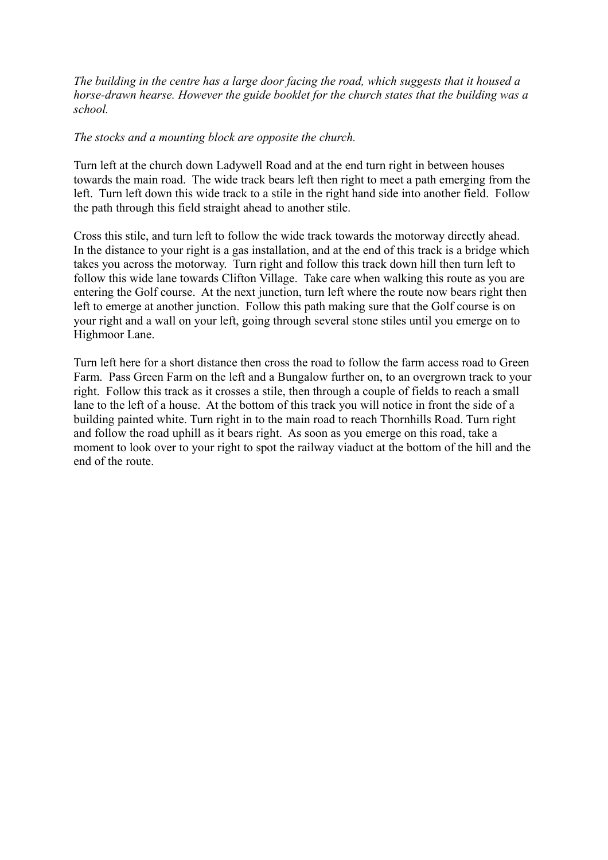*The building in the centre has a large door facing the road, which suggests that it housed a horse-drawn hearse. However the guide booklet for the church states that the building was a school.*

## *The stocks and a mounting block are opposite the church.*

Turn left at the church down Ladywell Road and at the end turn right in between houses towards the main road. The wide track bears left then right to meet a path emerging from the left. Turn left down this wide track to a stile in the right hand side into another field. Follow the path through this field straight ahead to another stile.

Cross this stile, and turn left to follow the wide track towards the motorway directly ahead. In the distance to your right is a gas installation, and at the end of this track is a bridge which takes you across the motorway. Turn right and follow this track down hill then turn left to follow this wide lane towards Clifton Village. Take care when walking this route as you are entering the Golf course. At the next junction, turn left where the route now bears right then left to emerge at another junction. Follow this path making sure that the Golf course is on your right and a wall on your left, going through several stone stiles until you emerge on to Highmoor Lane.

Turn left here for a short distance then cross the road to follow the farm access road to Green Farm. Pass Green Farm on the left and a Bungalow further on, to an overgrown track to your right. Follow this track as it crosses a stile, then through a couple of fields to reach a small lane to the left of a house. At the bottom of this track you will notice in front the side of a building painted white. Turn right in to the main road to reach Thornhills Road. Turn right and follow the road uphill as it bears right. As soon as you emerge on this road, take a moment to look over to your right to spot the railway viaduct at the bottom of the hill and the end of the route.